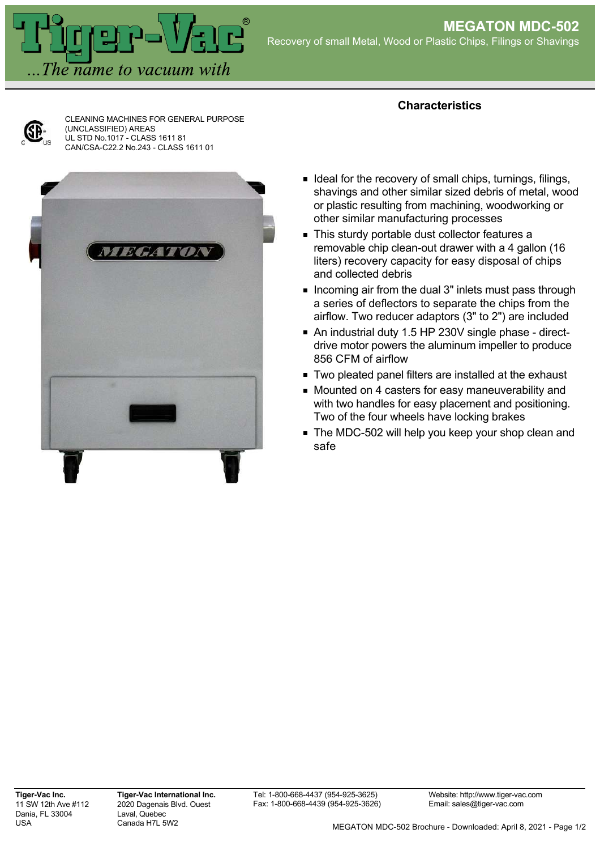

CLEANING MACHINES FOR GENERAL PURPOSE (UNCLASSIFIED) AREAS UL STD No.1017 - CLASS 1611 81 CAN/CSA-C22.2 No.243 - CLASS 1611 01



## **Characteristics**

- I deal for the recovery of small chips, turnings, filings, shavings and other similar sized debris of metal, wood or plastic resulting from machining, woodworking or other similar manufacturing processes
- This sturdy portable dust collector features a removable chip clean-out drawer with a 4 gallon (16 liters) recovery capacity for easy disposal of chips and collected debris
- **Incoming air from the dual 3" inlets must pass through** a series of deflectors to separate the chips from the airflow. Two reducer adaptors (3" to 2") are included
- An industrial duty 1.5 HP 230V single phase directdrive motor powers the aluminum impeller to produce 856 CFM of airflow
- **Two pleated panel filters are installed at the exhaust**
- **Mounted on 4 casters for easy maneuverability and** with two handles for easy placement and positioning. Two of the four wheels have locking brakes
- **The MDC-502 will help you keep your shop clean and** safe